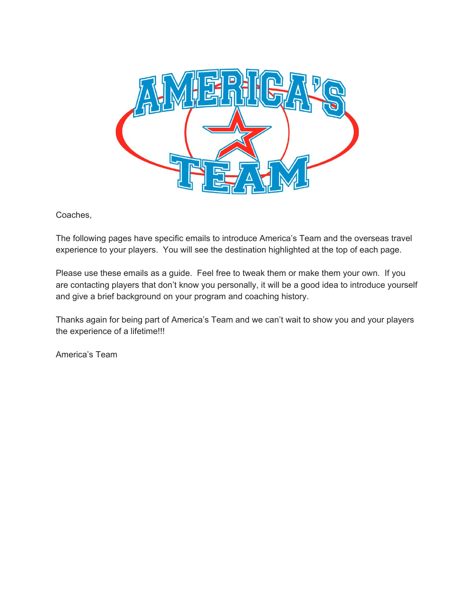

Coaches,

The following pages have specific emails to introduce America's Team and the overseas travel experience to your players. You will see the destination highlighted at the top of each page.

Please use these emails as a guide. Feel free to tweak them or make them your own. If you are contacting players that don't know you personally, it will be a good idea to introduce yourself and give a brief background on your program and coaching history.

Thanks again for being part of America's Team and we can't wait to show you and your players the experience of a lifetime!!!

America's Team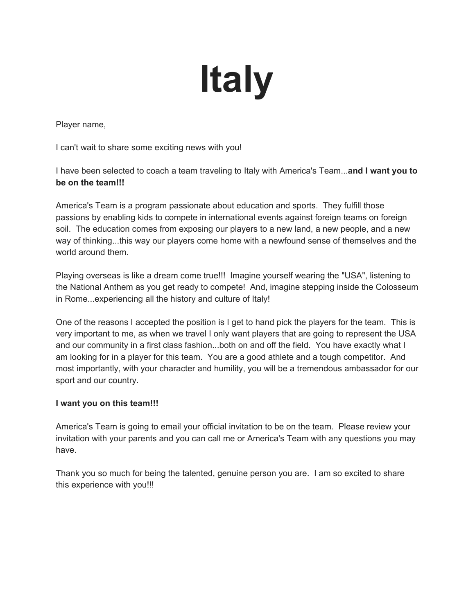## **Italy**

Player name,

I can't wait to share some exciting news with you!

I have been selected to coach a team traveling to Italy with America's Team...**and I want you to be on the team!!!**

America's Team is a program passionate about education and sports. They fulfill those passions by enabling kids to compete in international events against foreign teams on foreign soil. The education comes from exposing our players to a new land, a new people, and a new way of thinking...this way our players come home with a newfound sense of themselves and the world around them.

Playing overseas is like a dream come true!!! Imagine yourself wearing the "USA", listening to the National Anthem as you get ready to compete! And, imagine stepping inside the Colosseum in Rome...experiencing all the history and culture of Italy!

One of the reasons I accepted the position is I get to hand pick the players for the team. This is very important to me, as when we travel I only want players that are going to represent the USA and our community in a first class fashion...both on and off the field. You have exactly what I am looking for in a player for this team. You are a good athlete and a tough competitor. And most importantly, with your character and humility, you will be a tremendous ambassador for our sport and our country.

#### **I want you on this team!!!**

America's Team is going to email your official invitation to be on the team. Please review your invitation with your parents and you can call me or America's Team with any questions you may have.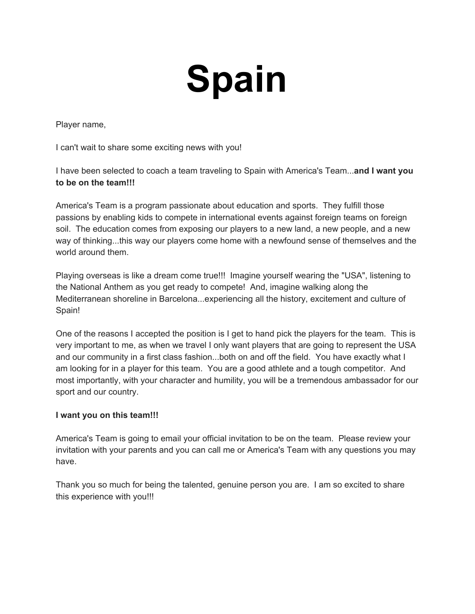# **Spain**

Player name,

I can't wait to share some exciting news with you!

I have been selected to coach a team traveling to Spain with America's Team...**and I want you to be on the team!!!**

America's Team is a program passionate about education and sports. They fulfill those passions by enabling kids to compete in international events against foreign teams on foreign soil. The education comes from exposing our players to a new land, a new people, and a new way of thinking...this way our players come home with a newfound sense of themselves and the world around them.

Playing overseas is like a dream come true!!! Imagine yourself wearing the "USA", listening to the National Anthem as you get ready to compete! And, imagine walking along the Mediterranean shoreline in Barcelona...experiencing all the history, excitement and culture of Spain!

One of the reasons I accepted the position is I get to hand pick the players for the team. This is very important to me, as when we travel I only want players that are going to represent the USA and our community in a first class fashion...both on and off the field. You have exactly what I am looking for in a player for this team. You are a good athlete and a tough competitor. And most importantly, with your character and humility, you will be a tremendous ambassador for our sport and our country.

#### **I want you on this team!!!**

America's Team is going to email your official invitation to be on the team. Please review your invitation with your parents and you can call me or America's Team with any questions you may have.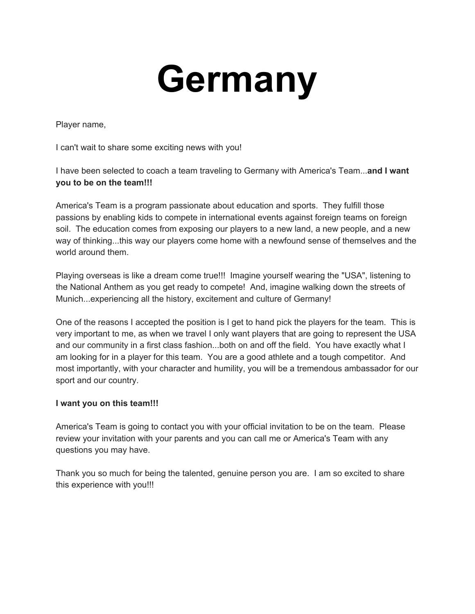### **Germany**

Player name,

I can't wait to share some exciting news with you!

I have been selected to coach a team traveling to Germany with America's Team...**and I want you to be on the team!!!**

America's Team is a program passionate about education and sports. They fulfill those passions by enabling kids to compete in international events against foreign teams on foreign soil. The education comes from exposing our players to a new land, a new people, and a new way of thinking...this way our players come home with a newfound sense of themselves and the world around them.

Playing overseas is like a dream come true!!! Imagine yourself wearing the "USA", listening to the National Anthem as you get ready to compete! And, imagine walking down the streets of Munich...experiencing all the history, excitement and culture of Germany!

One of the reasons I accepted the position is I get to hand pick the players for the team. This is very important to me, as when we travel I only want players that are going to represent the USA and our community in a first class fashion...both on and off the field. You have exactly what I am looking for in a player for this team. You are a good athlete and a tough competitor. And most importantly, with your character and humility, you will be a tremendous ambassador for our sport and our country.

#### **I want you on this team!!!**

America's Team is going to contact you with your official invitation to be on the team. Please review your invitation with your parents and you can call me or America's Team with any questions you may have.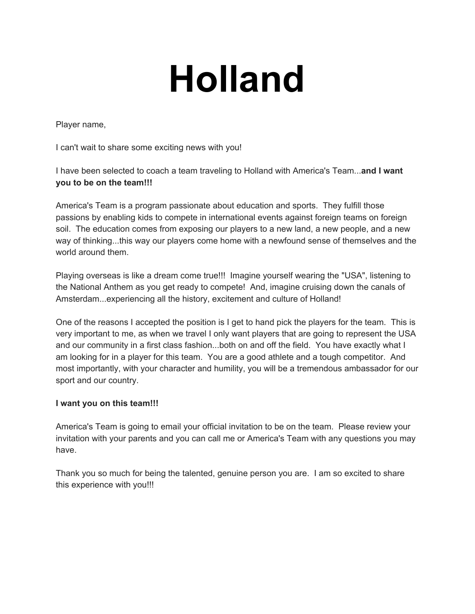## **Holland**

Player name,

I can't wait to share some exciting news with you!

I have been selected to coach a team traveling to Holland with America's Team...**and I want you to be on the team!!!**

America's Team is a program passionate about education and sports. They fulfill those passions by enabling kids to compete in international events against foreign teams on foreign soil. The education comes from exposing our players to a new land, a new people, and a new way of thinking...this way our players come home with a newfound sense of themselves and the world around them.

Playing overseas is like a dream come true!!! Imagine yourself wearing the "USA", listening to the National Anthem as you get ready to compete! And, imagine cruising down the canals of Amsterdam...experiencing all the history, excitement and culture of Holland!

One of the reasons I accepted the position is I get to hand pick the players for the team. This is very important to me, as when we travel I only want players that are going to represent the USA and our community in a first class fashion...both on and off the field. You have exactly what I am looking for in a player for this team. You are a good athlete and a tough competitor. And most importantly, with your character and humility, you will be a tremendous ambassador for our sport and our country.

#### **I want you on this team!!!**

America's Team is going to email your official invitation to be on the team. Please review your invitation with your parents and you can call me or America's Team with any questions you may have.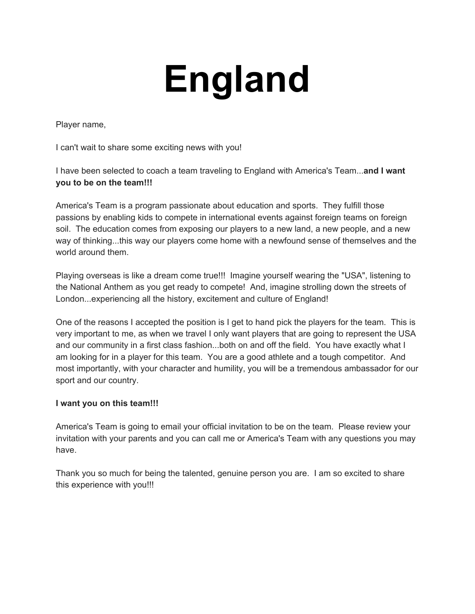# **England**

Player name,

I can't wait to share some exciting news with you!

I have been selected to coach a team traveling to England with America's Team...**and I want you to be on the team!!!**

America's Team is a program passionate about education and sports. They fulfill those passions by enabling kids to compete in international events against foreign teams on foreign soil. The education comes from exposing our players to a new land, a new people, and a new way of thinking...this way our players come home with a newfound sense of themselves and the world around them.

Playing overseas is like a dream come true!!! Imagine yourself wearing the "USA", listening to the National Anthem as you get ready to compete! And, imagine strolling down the streets of London...experiencing all the history, excitement and culture of England!

One of the reasons I accepted the position is I get to hand pick the players for the team. This is very important to me, as when we travel I only want players that are going to represent the USA and our community in a first class fashion...both on and off the field. You have exactly what I am looking for in a player for this team. You are a good athlete and a tough competitor. And most importantly, with your character and humility, you will be a tremendous ambassador for our sport and our country.

#### **I want you on this team!!!**

America's Team is going to email your official invitation to be on the team. Please review your invitation with your parents and you can call me or America's Team with any questions you may have.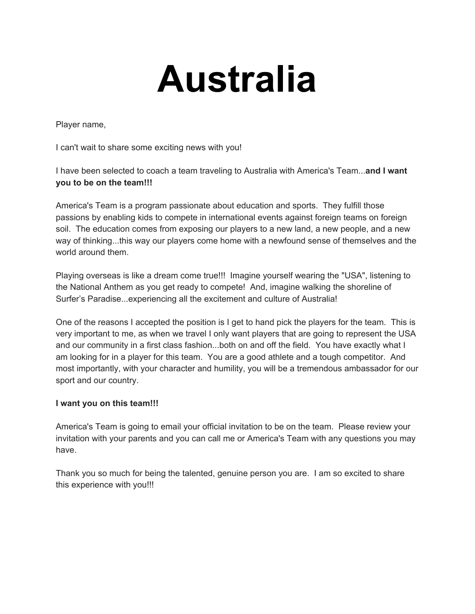### **Australia**

Player name,

I can't wait to share some exciting news with you!

I have been selected to coach a team traveling to Australia with America's Team...**and I want you to be on the team!!!**

America's Team is a program passionate about education and sports. They fulfill those passions by enabling kids to compete in international events against foreign teams on foreign soil. The education comes from exposing our players to a new land, a new people, and a new way of thinking...this way our players come home with a newfound sense of themselves and the world around them.

Playing overseas is like a dream come true!!! Imagine yourself wearing the "USA", listening to the National Anthem as you get ready to compete! And, imagine walking the shoreline of Surfer's Paradise...experiencing all the excitement and culture of Australia!

One of the reasons I accepted the position is I get to hand pick the players for the team. This is very important to me, as when we travel I only want players that are going to represent the USA and our community in a first class fashion...both on and off the field. You have exactly what I am looking for in a player for this team. You are a good athlete and a tough competitor. And most importantly, with your character and humility, you will be a tremendous ambassador for our sport and our country.

#### **I want you on this team!!!**

America's Team is going to email your official invitation to be on the team. Please review your invitation with your parents and you can call me or America's Team with any questions you may have.